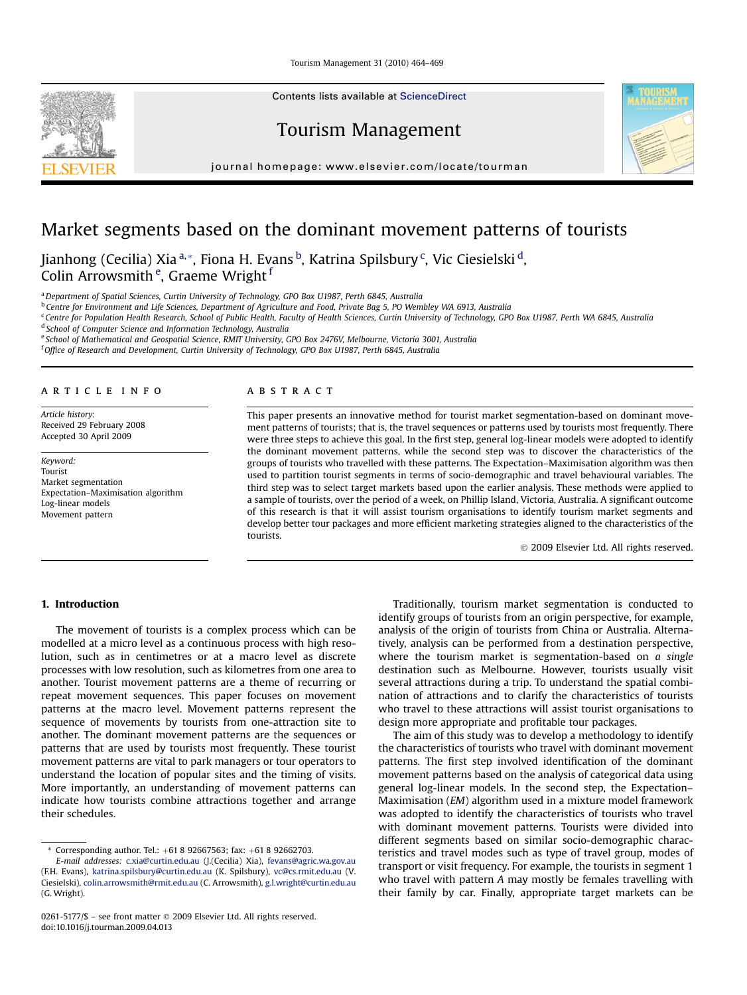Tourism Management 31 (2010) 464–469

Contents lists available at [ScienceDirect](www.sciencedirect.com/science/journal/02615177)

# Tourism Management

journal homepage: [www.elsevier.com/locate/tourman](http://www.elsevier.com/locate/tourman)

# Market segments based on the dominant movement patterns of tourists

Jianhong (Cecilia) Xia <sup>a,</sup>\*, Fiona H. Evans <sup>b</sup>, Katrina Spilsbury <sup>c</sup>, Vic Ciesielski <sup>d</sup>, Colin Arrowsmith<sup>e</sup>, Graeme Wright<sup>f</sup>

<sup>a</sup> Department of Spatial Sciences, Curtin University of Technology, GPO Box U1987, Perth 6845, Australia

<sup>c</sup> Centre for Population Health Research, School of Public Health, Faculty of Health Sciences, Curtin University of Technology, GPO Box U1987, Perth WA 6845, Australia

<sup>d</sup> School of Computer Science and Information Technology, Australia

e School of Mathematical and Geospatial Science, RMIT University, GPO Box 2476V, Melbourne, Victoria 3001, Australia

<sup>f</sup> Office of Research and Development, Curtin University of Technology, GPO Box U1987, Perth 6845, Australia

# article info

Article history: Received 29 February 2008 Accepted 30 April 2009

Keyword: Tourist Market segmentation Expectation–Maximisation algorithm Log-linear models Movement pattern

## **ABSTRACT**

This paper presents an innovative method for tourist market segmentation-based on dominant movement patterns of tourists; that is, the travel sequences or patterns used by tourists most frequently. There were three steps to achieve this goal. In the first step, general log-linear models were adopted to identify the dominant movement patterns, while the second step was to discover the characteristics of the groups of tourists who travelled with these patterns. The Expectation–Maximisation algorithm was then used to partition tourist segments in terms of socio-demographic and travel behavioural variables. The third step was to select target markets based upon the earlier analysis. These methods were applied to a sample of tourists, over the period of a week, on Phillip Island, Victoria, Australia. A significant outcome of this research is that it will assist tourism organisations to identify tourism market segments and develop better tour packages and more efficient marketing strategies aligned to the characteristics of the tourists.

- 2009 Elsevier Ltd. All rights reserved.

# 1. Introduction

The movement of tourists is a complex process which can be modelled at a micro level as a continuous process with high resolution, such as in centimetres or at a macro level as discrete processes with low resolution, such as kilometres from one area to another. Tourist movement patterns are a theme of recurring or repeat movement sequences. This paper focuses on movement patterns at the macro level. Movement patterns represent the sequence of movements by tourists from one-attraction site to another. The dominant movement patterns are the sequences or patterns that are used by tourists most frequently. These tourist movement patterns are vital to park managers or tour operators to understand the location of popular sites and the timing of visits. More importantly, an understanding of movement patterns can indicate how tourists combine attractions together and arrange their schedules.

Traditionally, tourism market segmentation is conducted to identify groups of tourists from an origin perspective, for example, analysis of the origin of tourists from China or Australia. Alternatively, analysis can be performed from a destination perspective, where the tourism market is segmentation-based on  $a$  single destination such as Melbourne. However, tourists usually visit several attractions during a trip. To understand the spatial combination of attractions and to clarify the characteristics of tourists who travel to these attractions will assist tourist organisations to design more appropriate and profitable tour packages.

The aim of this study was to develop a methodology to identify the characteristics of tourists who travel with dominant movement patterns. The first step involved identification of the dominant movement patterns based on the analysis of categorical data using general log-linear models. In the second step, the Expectation– Maximisation (EM) algorithm used in a mixture model framework was adopted to identify the characteristics of tourists who travel with dominant movement patterns. Tourists were divided into different segments based on similar socio-demographic characteristics and travel modes such as type of travel group, modes of transport or visit frequency. For example, the tourists in segment 1 who travel with pattern A may mostly be females travelling with their family by car. Finally, appropriate target markets can be





<sup>b</sup> Centre for Environment and Life Sciences, Department of Agriculture and Food, Private Bag 5, PO Wembley WA 6913, Australia

 $*$  Corresponding author. Tel.:  $+61892667563$ ; fax:  $+61892662703$ .

E-mail addresses: [c.xia@curtin.edu.au](mailto:c.xia@curtin.edu.au) (J.(Cecilia) Xia), [fevans@agric.wa.gov.au](mailto:fevans@agric.wa.gov.au) (F.H. Evans), [katrina.spilsbury@curtin.edu.au](mailto:katrina.spilsbury@curtin.edu.au) (K. Spilsbury), [vc@cs.rmit.edu.au](mailto:vc@cs.rmit.edu.au) (V. Ciesielski), [colin.arrowsmith@rmit.edu.au](mailto:colin.arrowsmith@rmit.edu.au) (C. Arrowsmith), [g.l.wright@curtin.edu.au](mailto:g.l.wright@curtin.edu.au) (G. Wright).

<sup>0261-5177/\$ –</sup> see front matter © 2009 Elsevier Ltd. All rights reserved. doi:10.1016/j.tourman.2009.04.013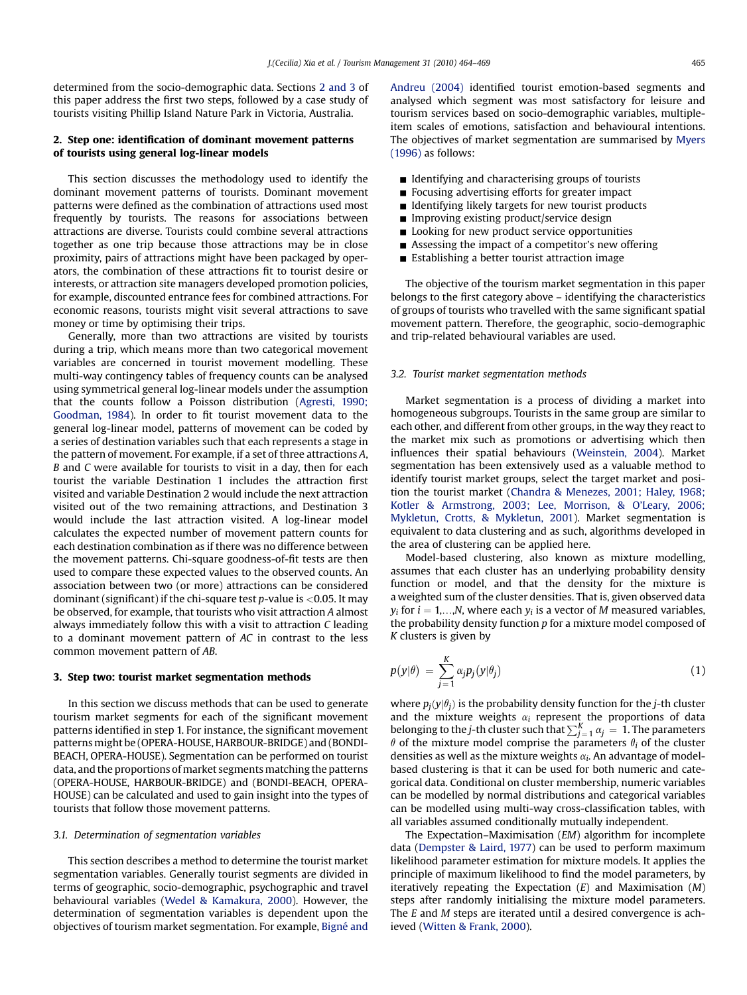determined from the socio-demographic data. Sections 2 and 3 of this paper address the first two steps, followed by a case study of tourists visiting Phillip Island Nature Park in Victoria, Australia.

# 2. Step one: identification of dominant movement patterns of tourists using general log-linear models

This section discusses the methodology used to identify the dominant movement patterns of tourists. Dominant movement patterns were defined as the combination of attractions used most frequently by tourists. The reasons for associations between attractions are diverse. Tourists could combine several attractions together as one trip because those attractions may be in close proximity, pairs of attractions might have been packaged by operators, the combination of these attractions fit to tourist desire or interests, or attraction site managers developed promotion policies, for example, discounted entrance fees for combined attractions. For economic reasons, tourists might visit several attractions to save money or time by optimising their trips.

Generally, more than two attractions are visited by tourists during a trip, which means more than two categorical movement variables are concerned in tourist movement modelling. These multi-way contingency tables of frequency counts can be analysed using symmetrical general log-linear models under the assumption that the counts follow a Poisson distribution ([Agresti, 1990;](#page--1-0) [Goodman, 1984](#page--1-0)). In order to fit tourist movement data to the general log-linear model, patterns of movement can be coded by a series of destination variables such that each represents a stage in the pattern of movement. For example, if a set of three attractions A, B and C were available for tourists to visit in a day, then for each tourist the variable Destination 1 includes the attraction first visited and variable Destination 2 would include the next attraction visited out of the two remaining attractions, and Destination 3 would include the last attraction visited. A log-linear model calculates the expected number of movement pattern counts for each destination combination as if there was no difference between the movement patterns. Chi-square goodness-of-fit tests are then used to compare these expected values to the observed counts. An association between two (or more) attractions can be considered dominant (significant) if the chi-square test  $p$ -value is <0.05. It may be observed, for example, that tourists who visit attraction A almost always immediately follow this with a visit to attraction C leading to a dominant movement pattern of AC in contrast to the less common movement pattern of AB.

# 3. Step two: tourist market segmentation methods

In this section we discuss methods that can be used to generate tourism market segments for each of the significant movement patterns identified in step 1. For instance, the significant movement patterns might be (OPERA-HOUSE, HARBOUR-BRIDGE) and (BONDI-BEACH, OPERA-HOUSE). Segmentation can be performed on tourist data, and the proportions of market segments matching the patterns (OPERA-HOUSE, HARBOUR-BRIDGE) and (BONDI-BEACH, OPERA-HOUSE) can be calculated and used to gain insight into the types of tourists that follow those movement patterns.

### 3.1. Determination of segmentation variables

This section describes a method to determine the tourist market segmentation variables. Generally tourist segments are divided in terms of geographic, socio-demographic, psychographic and travel behavioural variables [\(Wedel & Kamakura, 2000\)](#page--1-0). However, the determination of segmentation variables is dependent upon the objectives of tourism market segmentation. For example, Bigné and [Andreu \(2004\)](#page--1-0) identified tourist emotion-based segments and analysed which segment was most satisfactory for leisure and tourism services based on socio-demographic variables, multipleitem scales of emotions, satisfaction and behavioural intentions. The objectives of market segmentation are summarised by [Myers](#page--1-0) [\(1996\)](#page--1-0) as follows:

- $\blacksquare$  Identifying and characterising groups of tourists
- $\blacksquare$  Focusing advertising efforts for greater impact
- $\blacksquare$  Identifying likely targets for new tourist products
- $\blacksquare$  Improving existing product/service design
- $\blacksquare$  Looking for new product service opportunities
- $\blacksquare$  Assessing the impact of a competitor's new offering
- Establishing a better tourist attraction image

The objective of the tourism market segmentation in this paper belongs to the first category above – identifying the characteristics of groups of tourists who travelled with the same significant spatial movement pattern. Therefore, the geographic, socio-demographic and trip-related behavioural variables are used.

### 3.2. Tourist market segmentation methods

Market segmentation is a process of dividing a market into homogeneous subgroups. Tourists in the same group are similar to each other, and different from other groups, in the way they react to the market mix such as promotions or advertising which then influences their spatial behaviours ([Weinstein, 2004\)](#page--1-0). Market segmentation has been extensively used as a valuable method to identify tourist market groups, select the target market and position the tourist market ([Chandra & Menezes, 2001; Haley, 1968;](#page--1-0) [Kotler & Armstrong, 2003; Lee, Morrison, & O'Leary, 2006;](#page--1-0) [Mykletun, Crotts, & Mykletun, 2001\)](#page--1-0). Market segmentation is equivalent to data clustering and as such, algorithms developed in the area of clustering can be applied here.

Model-based clustering, also known as mixture modelling, assumes that each cluster has an underlying probability density function or model, and that the density for the mixture is a weighted sum of the cluster densities. That is, given observed data  $v_i$  for  $i = 1,...,N$ , where each  $v_i$  is a vector of M measured variables, the probability density function p for a mixture model composed of K clusters is given by

$$
p(y|\theta) = \sum_{j=1}^{K} \alpha_j p_j(y|\theta_j)
$$
 (1)

where  $p_i(y|\theta_i)$  is the probability density function for the *j*-th cluster and the mixture weights  $\alpha_i$  represent the proportions of data belonging to the *j*-th cluster such that  $\sum_{j=1}^{K} \alpha_j = 1$ . The parameters  $\theta$  of the mixture model comprise the parameters  $\theta_i$  of the cluster densities as well as the mixture weights  $\alpha_i$ . An advantage of modelbased clustering is that it can be used for both numeric and categorical data. Conditional on cluster membership, numeric variables can be modelled by normal distributions and categorical variables can be modelled using multi-way cross-classification tables, with all variables assumed conditionally mutually independent.

The Expectation–Maximisation (EM) algorithm for incomplete data ([Dempster & Laird, 1977](#page--1-0)) can be used to perform maximum likelihood parameter estimation for mixture models. It applies the principle of maximum likelihood to find the model parameters, by iteratively repeating the Expectation  $(E)$  and Maximisation  $(M)$ steps after randomly initialising the mixture model parameters. The E and M steps are iterated until a desired convergence is achieved [\(Witten & Frank, 2000](#page--1-0)).